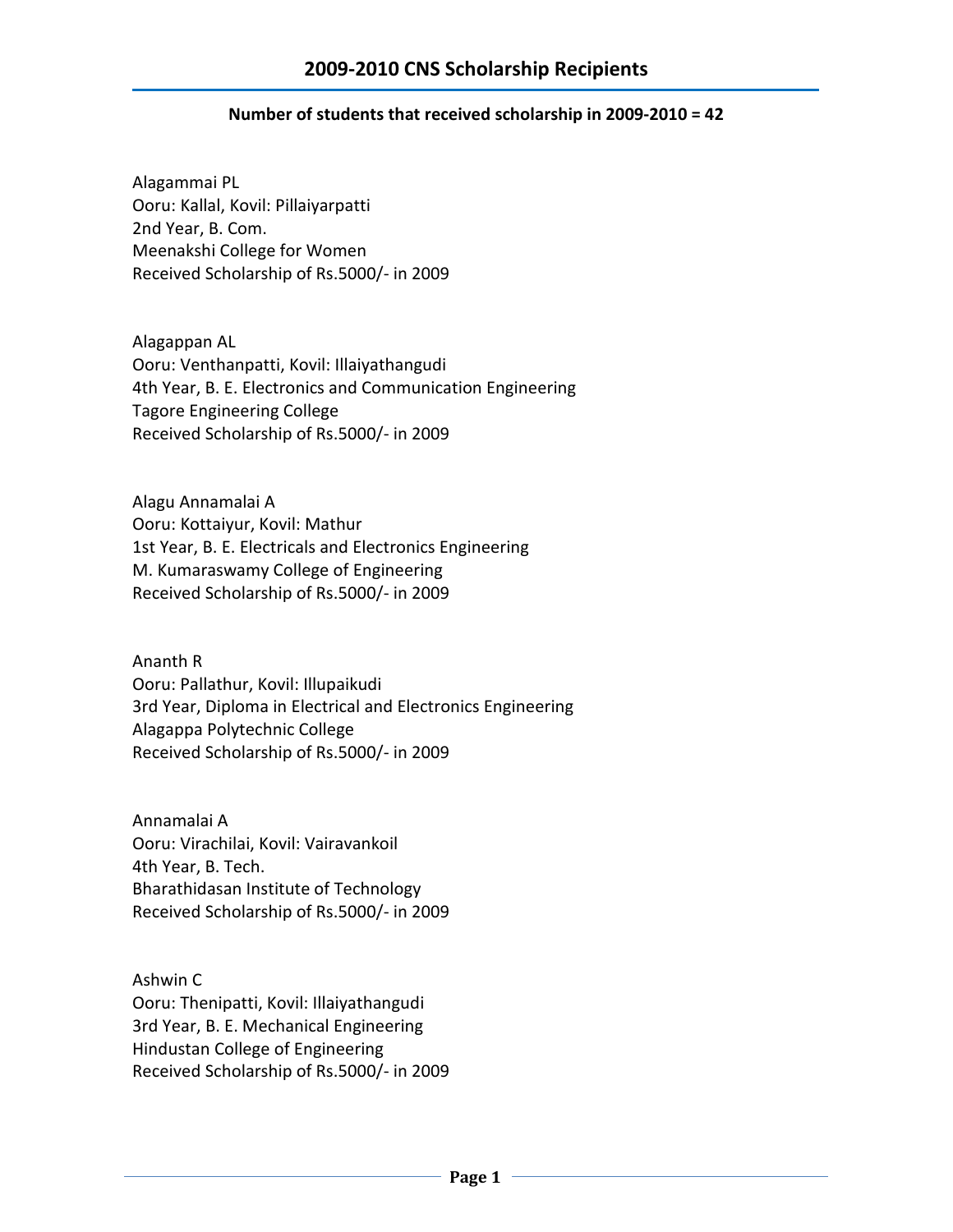## **Number of students that received scholarship in 2009-2010 = 42**

Alagammai PL Ooru: Kallal, Kovil: Pillaiyarpatti 2nd Year, B. Com. Meenakshi College for Women Received Scholarship of Rs.5000/- in 2009

Alagappan AL Ooru: Venthanpatti, Kovil: Illaiyathangudi 4th Year, B. E. Electronics and Communication Engineering Tagore Engineering College Received Scholarship of Rs.5000/- in 2009

Alagu Annamalai A Ooru: Kottaiyur, Kovil: Mathur 1st Year, B. E. Electricals and Electronics Engineering M. Kumaraswamy College of Engineering Received Scholarship of Rs.5000/- in 2009

Ananth R Ooru: Pallathur, Kovil: Illupaikudi 3rd Year, Diploma in Electrical and Electronics Engineering Alagappa Polytechnic College Received Scholarship of Rs.5000/- in 2009

Annamalai A Ooru: Virachilai, Kovil: Vairavankoil 4th Year, B. Tech. Bharathidasan Institute of Technology Received Scholarship of Rs.5000/- in 2009

Ashwin C Ooru: Thenipatti, Kovil: Illaiyathangudi 3rd Year, B. E. Mechanical Engineering Hindustan College of Engineering Received Scholarship of Rs.5000/- in 2009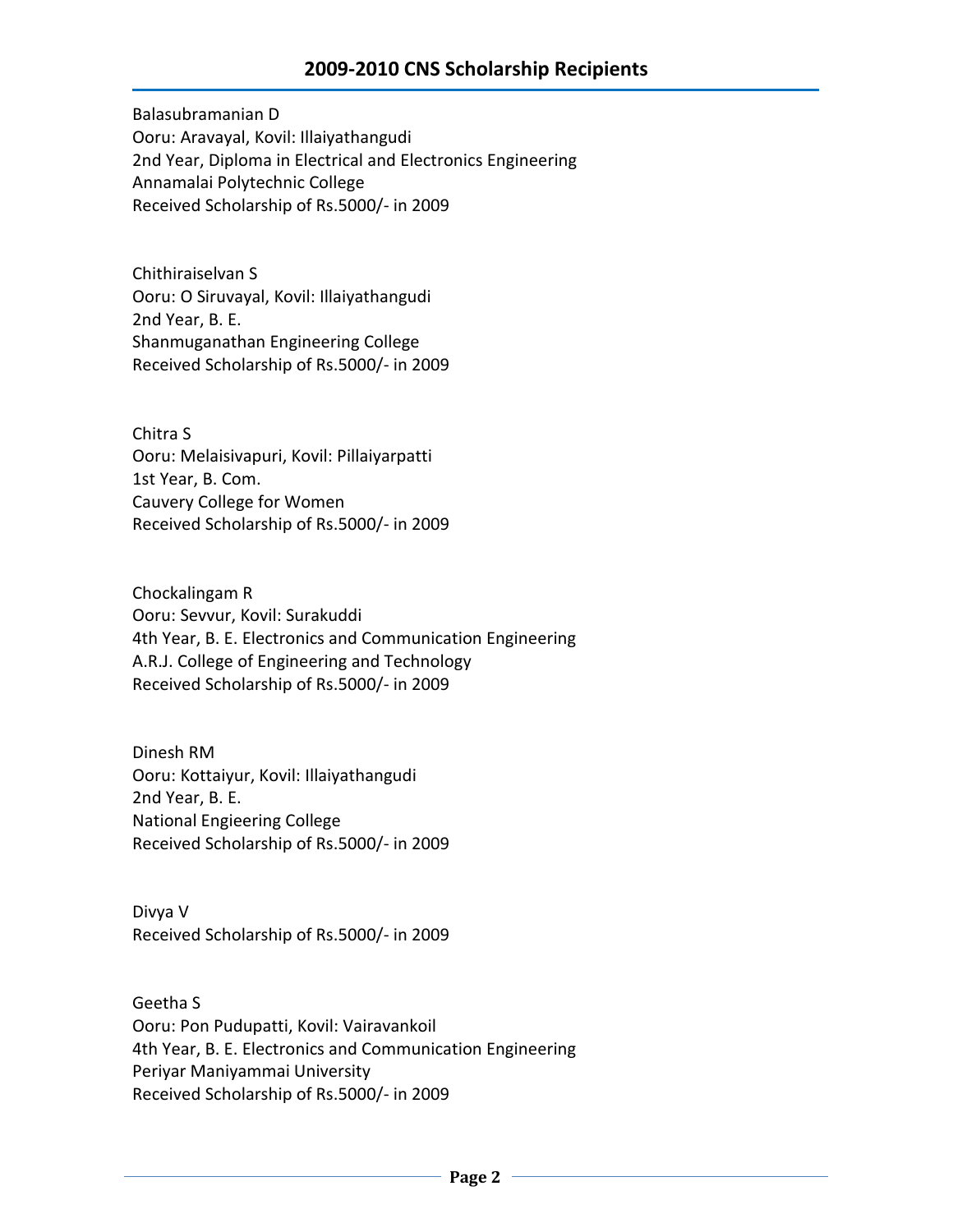Balasubramanian D Ooru: Aravayal, Kovil: Illaiyathangudi 2nd Year, Diploma in Electrical and Electronics Engineering Annamalai Polytechnic College Received Scholarship of Rs.5000/- in 2009

Chithiraiselvan S Ooru: O Siruvayal, Kovil: Illaiyathangudi 2nd Year, B. E. Shanmuganathan Engineering College Received Scholarship of Rs.5000/- in 2009

Chitra S Ooru: Melaisivapuri, Kovil: Pillaiyarpatti 1st Year, B. Com. Cauvery College for Women Received Scholarship of Rs.5000/- in 2009

Chockalingam R Ooru: Sevvur, Kovil: Surakuddi 4th Year, B. E. Electronics and Communication Engineering A.R.J. College of Engineering and Technology Received Scholarship of Rs.5000/- in 2009

Dinesh RM Ooru: Kottaiyur, Kovil: Illaiyathangudi 2nd Year, B. E. National Engieering College Received Scholarship of Rs.5000/- in 2009

Divya V Received Scholarship of Rs.5000/- in 2009

Geetha S Ooru: Pon Pudupatti, Kovil: Vairavankoil 4th Year, B. E. Electronics and Communication Engineering Periyar Maniyammai University Received Scholarship of Rs.5000/- in 2009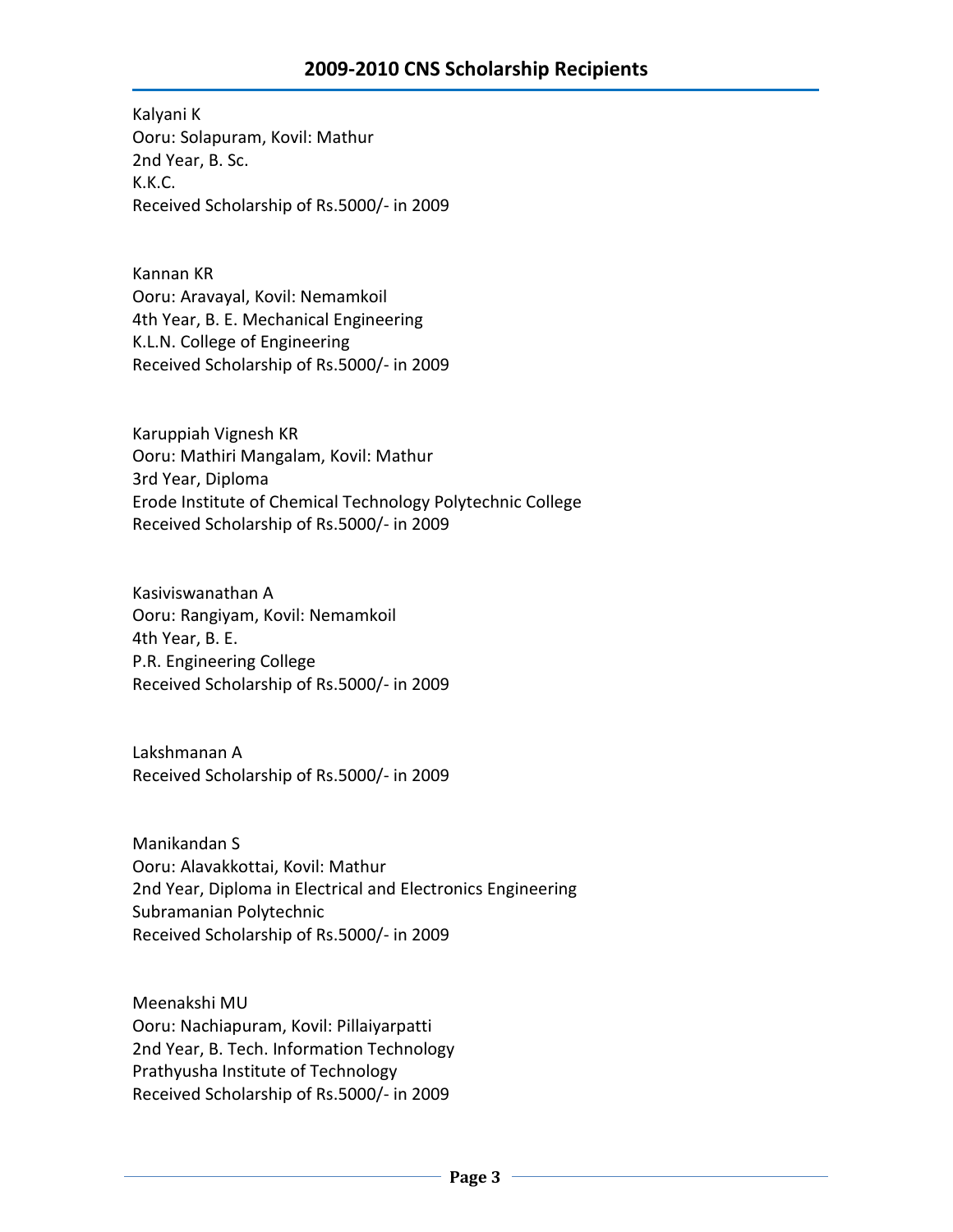Kalyani K Ooru: Solapuram, Kovil: Mathur 2nd Year, B. Sc. K.K.C. Received Scholarship of Rs.5000/- in 2009

Kannan KR Ooru: Aravayal, Kovil: Nemamkoil 4th Year, B. E. Mechanical Engineering K.L.N. College of Engineering Received Scholarship of Rs.5000/- in 2009

Karuppiah Vignesh KR Ooru: Mathiri Mangalam, Kovil: Mathur 3rd Year, Diploma Erode Institute of Chemical Technology Polytechnic College Received Scholarship of Rs.5000/- in 2009

Kasiviswanathan A Ooru: Rangiyam, Kovil: Nemamkoil 4th Year, B. E. P.R. Engineering College Received Scholarship of Rs.5000/- in 2009

Lakshmanan A Received Scholarship of Rs.5000/- in 2009

Manikandan S Ooru: Alavakkottai, Kovil: Mathur 2nd Year, Diploma in Electrical and Electronics Engineering Subramanian Polytechnic Received Scholarship of Rs.5000/- in 2009

Meenakshi MU Ooru: Nachiapuram, Kovil: Pillaiyarpatti 2nd Year, B. Tech. Information Technology Prathyusha Institute of Technology Received Scholarship of Rs.5000/- in 2009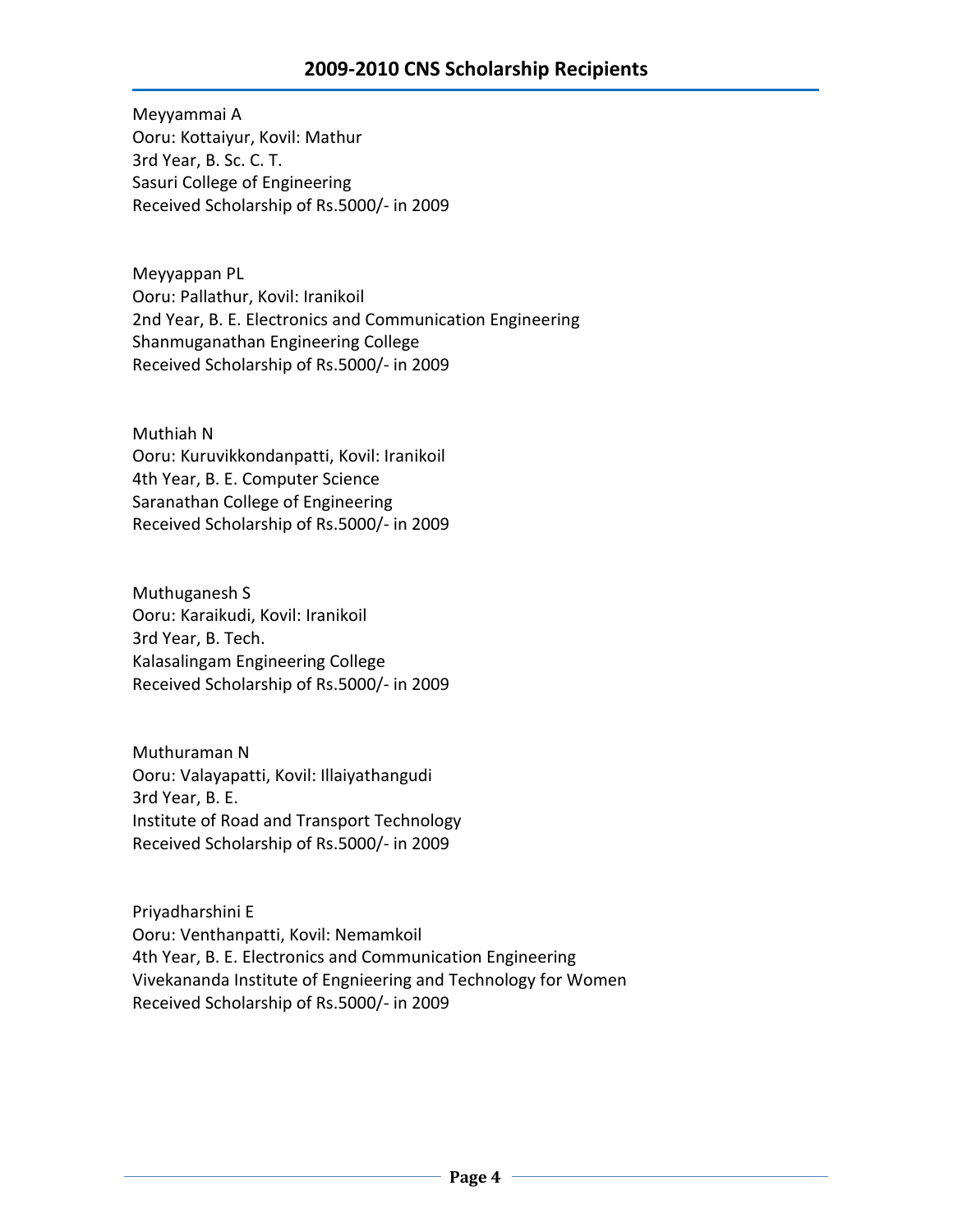Meyyammai A Ooru: Kottaiyur, Kovil: Mathur 3rd Year, B. Sc. C. T. Sasuri College of Engineering Received Scholarship of Rs.5000/- in 2009

Meyyappan PL Ooru: Pallathur, Kovil: Iranikoil 2nd Year, B. E. Electronics and Communication Engineering Shanmuganathan Engineering College Received Scholarship of Rs.5000/- in 2009

Muthiah N Ooru: Kuruvikkondanpatti, Kovil: Iranikoil 4th Year, B. E. Computer Science Saranathan College of Engineering Received Scholarship of Rs.5000/- in 2009

Muthuganesh S Ooru: Karaikudi, Kovil: Iranikoil 3rd Year, B. Tech. Kalasalingam Engineering College Received Scholarship of Rs.5000/- in 2009

Muthuraman N Ooru: Valayapatti, Kovil: Illaiyathangudi 3rd Year, B. E. Institute of Road and Transport Technology Received Scholarship of Rs.5000/- in 2009

Priyadharshini E Ooru: Venthanpatti, Kovil: Nemamkoil 4th Year, B. E. Electronics and Communication Engineering Vivekananda Institute of Engnieering and Technology for Women Received Scholarship of Rs.5000/- in 2009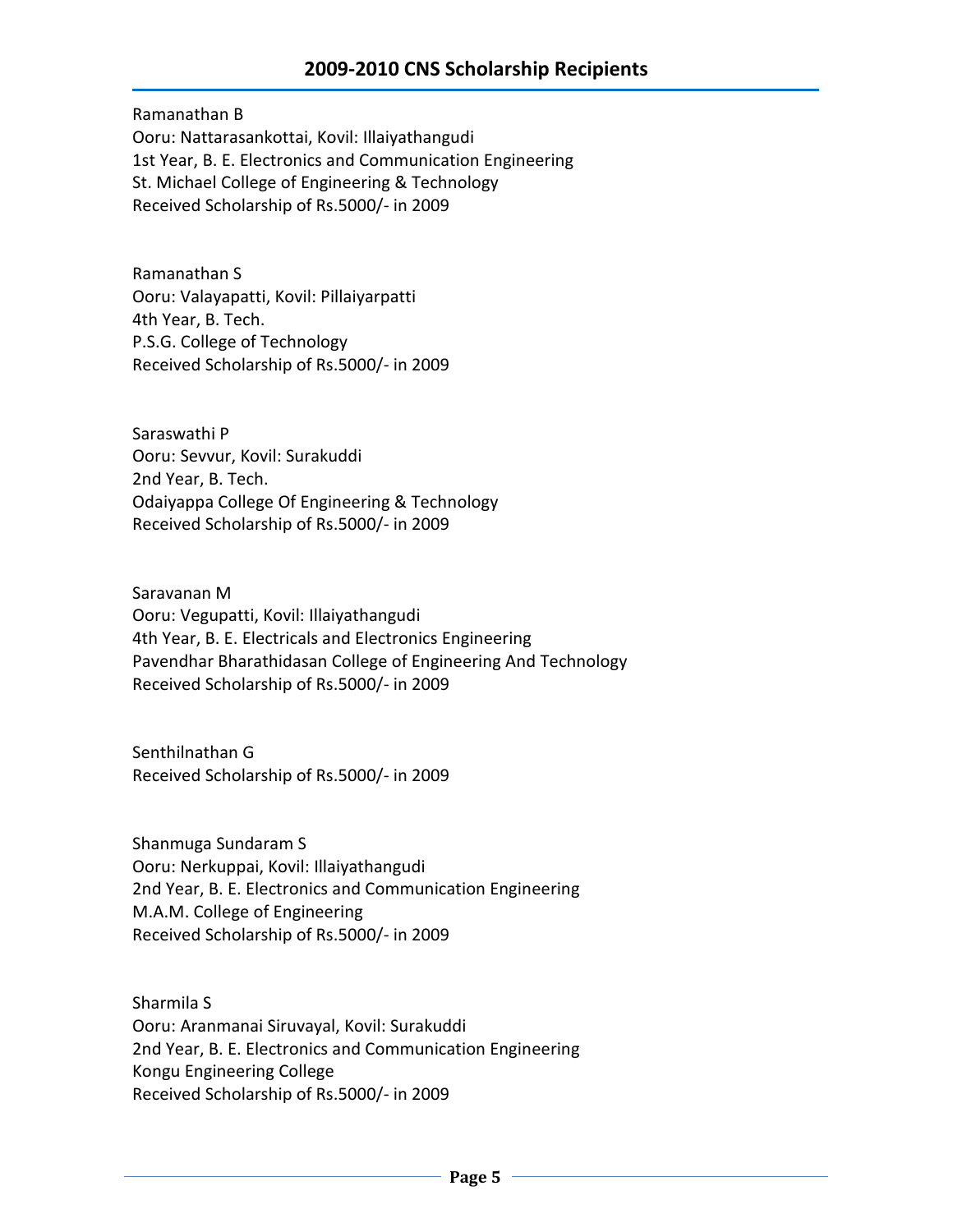## **2009-2010 CNS Scholarship Recipients**

Ramanathan B Ooru: Nattarasankottai, Kovil: Illaiyathangudi 1st Year, B. E. Electronics and Communication Engineering St. Michael College of Engineering & Technology Received Scholarship of Rs.5000/- in 2009

Ramanathan S Ooru: Valayapatti, Kovil: Pillaiyarpatti 4th Year, B. Tech. P.S.G. College of Technology Received Scholarship of Rs.5000/- in 2009

Saraswathi P Ooru: Sevvur, Kovil: Surakuddi 2nd Year, B. Tech. Odaiyappa College Of Engineering & Technology Received Scholarship of Rs.5000/- in 2009

Saravanan M Ooru: Vegupatti, Kovil: Illaiyathangudi 4th Year, B. E. Electricals and Electronics Engineering Pavendhar Bharathidasan College of Engineering And Technology Received Scholarship of Rs.5000/- in 2009

Senthilnathan G Received Scholarship of Rs.5000/- in 2009

Shanmuga Sundaram S Ooru: Nerkuppai, Kovil: Illaiyathangudi 2nd Year, B. E. Electronics and Communication Engineering M.A.M. College of Engineering Received Scholarship of Rs.5000/- in 2009

Sharmila S Ooru: Aranmanai Siruvayal, Kovil: Surakuddi 2nd Year, B. E. Electronics and Communication Engineering Kongu Engineering College Received Scholarship of Rs.5000/- in 2009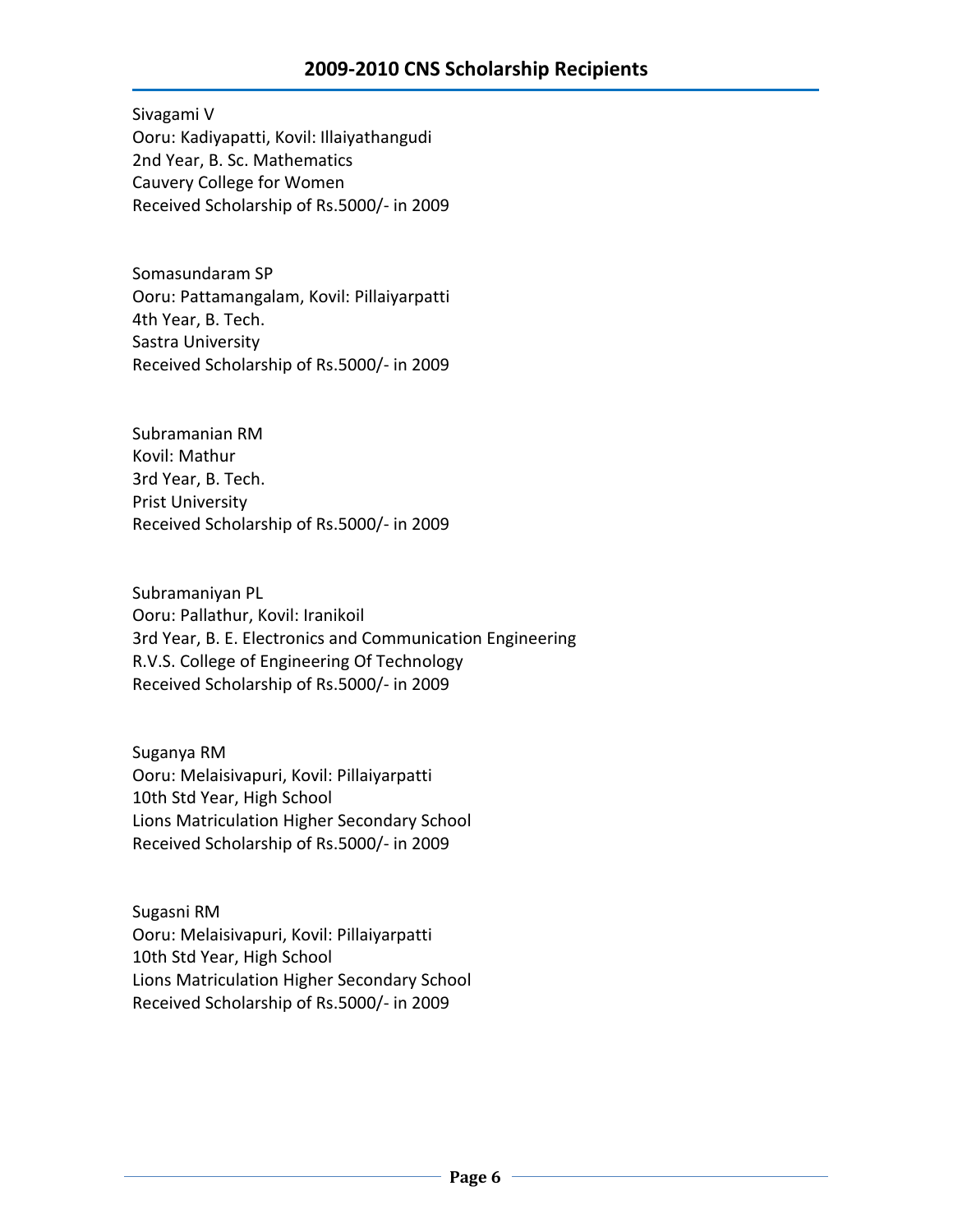Sivagami V Ooru: Kadiyapatti, Kovil: Illaiyathangudi 2nd Year, B. Sc. Mathematics Cauvery College for Women Received Scholarship of Rs.5000/- in 2009

Somasundaram SP Ooru: Pattamangalam, Kovil: Pillaiyarpatti 4th Year, B. Tech. Sastra University Received Scholarship of Rs.5000/- in 2009

Subramanian RM Kovil: Mathur 3rd Year, B. Tech. Prist University Received Scholarship of Rs.5000/- in 2009

Subramaniyan PL Ooru: Pallathur, Kovil: Iranikoil 3rd Year, B. E. Electronics and Communication Engineering R.V.S. College of Engineering Of Technology Received Scholarship of Rs.5000/- in 2009

Suganya RM Ooru: Melaisivapuri, Kovil: Pillaiyarpatti 10th Std Year, High School Lions Matriculation Higher Secondary School Received Scholarship of Rs.5000/- in 2009

Sugasni RM Ooru: Melaisivapuri, Kovil: Pillaiyarpatti 10th Std Year, High School Lions Matriculation Higher Secondary School Received Scholarship of Rs.5000/- in 2009